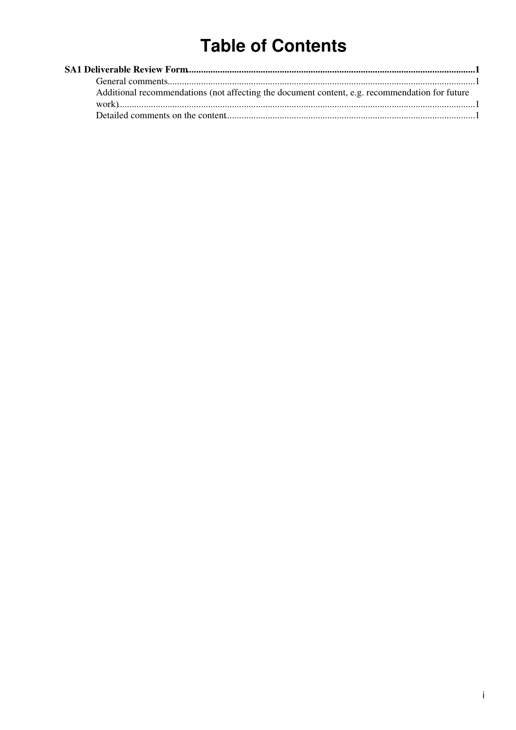# **Table of Contents**

| Additional recommendations (not affecting the document content, e.g. recommendation for future |  |
|------------------------------------------------------------------------------------------------|--|
|                                                                                                |  |
|                                                                                                |  |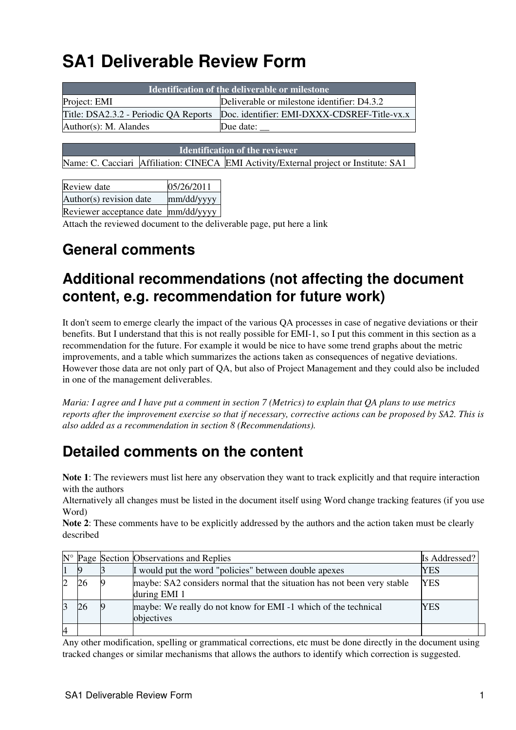# <span id="page-1-0"></span>**SA1 Deliverable Review Form**

| <b>Identification of the deliverable or milestone</b> |                                             |  |  |  |  |
|-------------------------------------------------------|---------------------------------------------|--|--|--|--|
| Project: EMI                                          | Deliverable or milestone identifier: D4.3.2 |  |  |  |  |
| Title: DSA2.3.2 - Periodic QA Reports                 | Doc. identifier: EMI-DXXX-CDSREF-Title-vx.x |  |  |  |  |
| $Author(s): M.$ Alandes                               | Due date:                                   |  |  |  |  |
|                                                       |                                             |  |  |  |  |

**Identification of the reviewer**

Name: C. Cacciari Affiliation: CINECA EMI Activity/External project or Institute: SA1

| Review date                         | 05/26/2011 |
|-------------------------------------|------------|
| Author(s) revision date             | mm/dd/yyyy |
| Reviewer acceptance date mm/dd/yyyy |            |

Attach the reviewed document to the deliverable page, put here a link

#### <span id="page-1-1"></span>**General comments**

#### <span id="page-1-2"></span>**Additional recommendations (not affecting the document content, e.g. recommendation for future work)**

It don't seem to emerge clearly the impact of the various QA processes in case of negative deviations or their benefits. But I understand that this is not really possible for EMI-1, so I put this comment in this section as a recommendation for the future. For example it would be nice to have some trend graphs about the metric improvements, and a table which summarizes the actions taken as consequences of negative deviations. However those data are not only part of QA, but also of Project Management and they could also be included in one of the management deliverables.

*Maria: I agree and I have put a comment in section 7 (Metrics) to explain that QA plans to use metrics reports after the improvement exercise so that if necessary, corrective actions can be proposed by SA2. This is also added as a recommendation in section 8 (Recommendations).*

### <span id="page-1-3"></span>**Detailed comments on the content**

**Note 1**: The reviewers must list here any observation they want to track explicitly and that require interaction with the authors

Alternatively all changes must be listed in the document itself using Word change tracking features (if you use Word)

**Note 2**: These comments have to be explicitly addressed by the authors and the action taken must be clearly described

| $N^{\circ}$ |  | Page Section Observations and Replies                                                   | Is Addressed? |
|-------------|--|-----------------------------------------------------------------------------------------|---------------|
|             |  | I would put the word "policies" between double apexes                                   | YES           |
|             |  | maybe: SA2 considers normal that the situation has not been very stable<br>during EMI 1 | <b>YES</b>    |
|             |  | maybe: We really do not know for EMI -1 which of the technical<br>objectives            | YES           |
| 4           |  |                                                                                         |               |

Any other modification, spelling or grammatical corrections, etc must be done directly in the document using tracked changes or similar mechanisms that allows the authors to identify which correction is suggested.